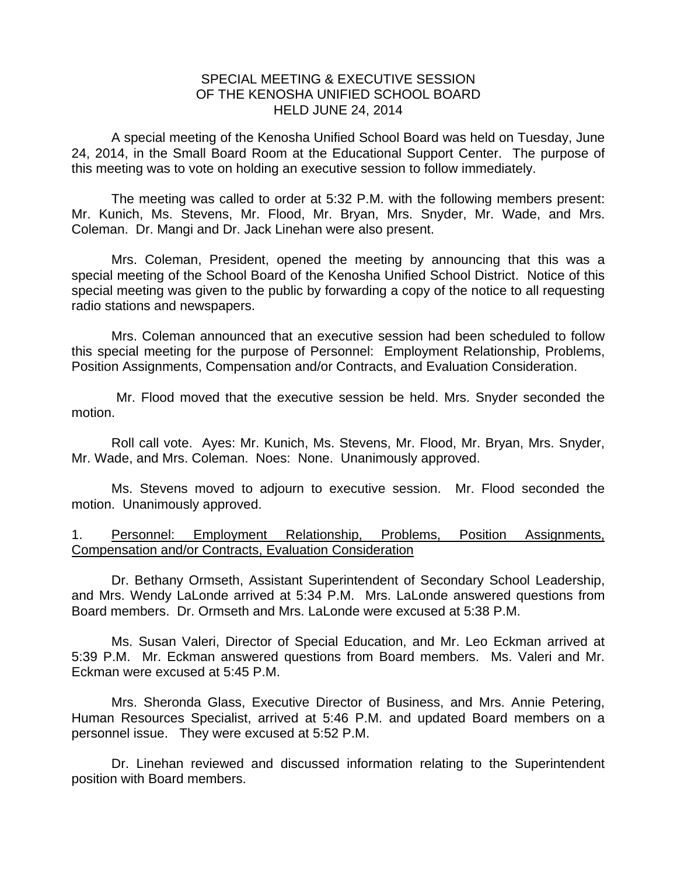## SPECIAL MEETING & EXECUTIVE SESSION OF THE KENOSHA UNIFIED SCHOOL BOARD HELD JUNE 24, 2014

A special meeting of the Kenosha Unified School Board was held on Tuesday, June 24, 2014, in the Small Board Room at the Educational Support Center. The purpose of this meeting was to vote on holding an executive session to follow immediately.

 The meeting was called to order at 5:32 P.M. with the following members present: Mr. Kunich, Ms. Stevens, Mr. Flood, Mr. Bryan, Mrs. Snyder, Mr. Wade, and Mrs. Coleman. Dr. Mangi and Dr. Jack Linehan were also present.

 Mrs. Coleman, President, opened the meeting by announcing that this was a special meeting of the School Board of the Kenosha Unified School District. Notice of this special meeting was given to the public by forwarding a copy of the notice to all requesting radio stations and newspapers.

 Mrs. Coleman announced that an executive session had been scheduled to follow this special meeting for the purpose of Personnel: Employment Relationship, Problems, Position Assignments, Compensation and/or Contracts, and Evaluation Consideration.

 Mr. Flood moved that the executive session be held. Mrs. Snyder seconded the motion.

 Roll call vote. Ayes: Mr. Kunich, Ms. Stevens, Mr. Flood, Mr. Bryan, Mrs. Snyder, Mr. Wade, and Mrs. Coleman. Noes: None. Unanimously approved.

 Ms. Stevens moved to adjourn to executive session. Mr. Flood seconded the motion. Unanimously approved.

## 1. Personnel: Employment Relationship, Problems, Position Assignments, Compensation and/or Contracts, Evaluation Consideration

Dr. Bethany Ormseth, Assistant Superintendent of Secondary School Leadership, and Mrs. Wendy LaLonde arrived at 5:34 P.M. Mrs. LaLonde answered questions from Board members. Dr. Ormseth and Mrs. LaLonde were excused at 5:38 P.M.

Ms. Susan Valeri, Director of Special Education, and Mr. Leo Eckman arrived at 5:39 P.M. Mr. Eckman answered questions from Board members. Ms. Valeri and Mr. Eckman were excused at 5:45 P.M.

Mrs. Sheronda Glass, Executive Director of Business, and Mrs. Annie Petering, Human Resources Specialist, arrived at 5:46 P.M. and updated Board members on a personnel issue. They were excused at 5:52 P.M.

Dr. Linehan reviewed and discussed information relating to the Superintendent position with Board members.